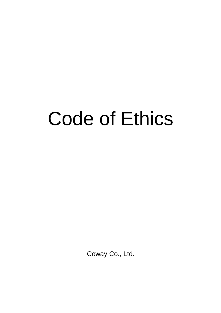# Code of Ethics

Coway Co., Ltd.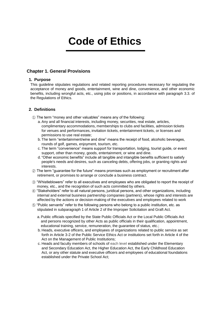# **Code of Ethics**

# **Chapter 1. General Provisions**

#### **1. Purpose**

This guideline stipulates regulations and related reporting procedures necessary for regulating the acceptance of money and goods, entertainment, wine and dine, convenience, and other economic benefits, including wrongful acts, etc., using jobs or positions, in accordance with paragraph 3.3. of the Regulations of Ethics.

# **2. Definitions**

- ① The term "money and other valuables" means any of the following:
	- a. Any and all financial interests, including money, securities, real estate, articles, complimentary accommodations, memberships to clubs and facilities, admission tickets for venues and performances, invitation tickets, entertainment tickets, or licenses and permissions to use real estate;
	- b. The term "entertainment/wine and dine" means the receipt of food, alcoholic beverages, rounds of golf, games, enjoyment, tourism, etc.
	- c. The term "convenience" means support for transportation, lodging, tourist guide, or event support, other than money, goods, entertainment, or wine and dine.
	- d. "Other economic benefits" include all tangible and intangible benefits sufficient to satisfy people's needs and desires, such as canceling debts, offering jobs, or granting rights and interests.
- ② The term "guarantee for the future" means promises such as employment or recruitment after retirement, or promises to arrange or conclude a business contract.
- ③ "Whistleblowers" refer to all executives and employees who are obligated to report the receipt of money, etc., and the recognition of such acts committed by others.
- ④ "Stakeholders" refer to all natural persons, juridical persons, and other organizations, including internal and external business partnership companies (partners), whose rights and interests are affected by the actions or decision-making of the executives and employees related to work
- ⑤ "Public servants" refer to the following persons who belong to a public institution, etc. as stipulated in subparagraph 1 of Article 2 of the Improper Solicitation and Graft Act.
	- a.Public officials specified by the State Public Officials Act or the Local Public Officials Act and persons recognized by other Acts as public officials in their qualification, appointment, educational training, service, remuneration, the guarantee of status, etc.;
	- b. Heads, executive officers, and employees of organizations related to public service as set forth in Article 3-2 of the Public Service Ethics Act or institutions set forth in Article 4 of the Act on the Management of Public Institutions;
	- c. Heads and faculty members of schools of each level established under the Elementary and Secondary Education Act, the Higher Education Act, the Early Childhood Education Act, or any other statute and executive officers and employees of educational foundations established under the Private School Act;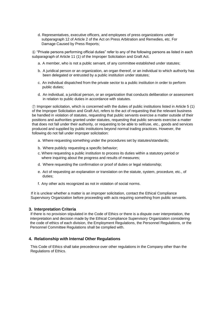d. Representatives, executive officers, and employees of press organizations under subparagraph 12 of Article 2 of the Act on Press Arbitration and Remedies, etc. For Damage Caused by Press Reports;

⑥ "Private persons performing official duties" refer to any of the following persons as listed in each subparagraph of Article 11 (1) of the Improper Solicitation and Graft Act.

- a. A member, who is not a public servant, of any committee established under statutes;
- b. A juridical person or an organization, an organ thereof, or an individual to which authority has been delegated or entrusted by a public institution under statutes;
- c. An individual dispatched from the private sector to a public institution in order to perform public duties;
- d. An individual, a juridical person, or an organization that conducts deliberation or assessment in relation to public duties in accordance with statutes.

⑦ Improper solicitation, which is concerned with the duties of public institutions listed in Article 5 (1) of the Improper Solicitation and Graft Act, refers to the act of requesting that the relevant business be handled in violation of statutes, requesting that public servants exercise a matter outside of their positions and authorities granted under statutes, requesting that public servants exercise a matter that does not fall under their authority, or requesting to be able to sell/use, etc., goods and services produced and supplied by public institutions beyond normal trading practices. However, the following do not fall under improper solicitation:

- a. Where requesting something under the procedures set by statutes/standards;
- b. Where publicly requesting a specific behavior;
- c. Where requesting a public institution to process its duties within a statutory period or where inquiring about the progress and results of measures;
- d. Where requesting the confirmation or proof of duties or legal relationship;
- e. Act of requesting an explanation or translation on the statute, system, procedure, etc., of duties;
- f. Any other acts recognized as not in violation of social norms.

If it is unclear whether a matter is an improper solicitation, contact the Ethical Compliance Supervisory Organization before proceeding with acts requiring something from public servants.

#### **3. Interpretation Criteria**

If there is no provision stipulated in the Code of Ethics or there is a dispute over interpretation, the interpretation and decision made by the Ethical Compliance Supervisory Organization considering the code of ethics of each division, the Employment Regulations, the Personnel Regulations, or the Personnel Committee Regulations shall be complied with.

#### **4. Relationship with Internal Other Regulations**

This Code of Ethics shall take precedence over other regulations in the Company other than the Regulations of Ethics.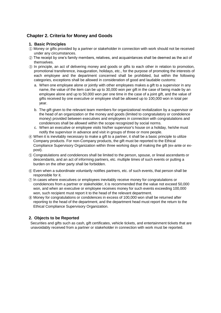# **Chapter 2. Criteria for Money and Goods**

# **1. Basic Principles**

- ① Money or gifts provided by a partner or stakeholder in connection with work should not be received under any circumstances.
- ② The receipt by one's family members, relatives, and acquaintances shall be deemed as the act of themselves.
- ③ In principle, an act of delivering money and goods or gifts to each other in relation to promotion, promotional transference, inauguration, holidays, etc., for the purpose of promoting the interests of each employee and the department concerned shall be prohibited, but within the following categories, exceptions shall be allowed in consideration of good and laudable customs:
	- a. When one employee alone or jointly with other employees makes a gift to a supervisor in any name, the value of the item can be up to 30,000 won per gift in the case of being made by an employee alone and up to 50,000 won per one time in the case of a joint gift, and the value of gifts received by one executive or employee shall be allowed up to 100,000 won in total per year.
	- b. The gift given to the relevant team members for organizational revitalization by a supervisor or the head of an organization or the money and goods (limited to congratulatory or condolence money) provided between executives and employees in connection with congratulations and condolences shall be allowed within the scope recognized by social norms.
	- c. When an executive or employee visits his/her supervisor's house on a holiday, he/she must notify the supervisor in advance and visit in groups of three or more people.
- ④ When it is inevitably necessary to make a gift to a partner, it shall be a basic principle to utilize Company products. For non-Company products, the gift must be reported to the Ethical Compliance Supervisory Organization within three working days of making the gift (ex-ante or expost).
- ⑤ Congratulations and condolences shall be limited to the person, spouse, or lineal ascendants or descendants, and an act of informing partners, etc. multiple times of such events or putting a burden on the other party shall be forbidden.
- ⑥ Even when a subordinate voluntarily notifies partners, etc. of such events, that person shall be responsible for it.
- ⑦ In cases where executives or employees inevitably receive money for congratulations or condolences from a partner or stakeholder, it is recommended that the value not exceed 50,000 won, and when an executive or employee receives money for such events exceeding 100,000 won, such recipient must report it to the head of the relevant department.
- ⑧ Money for congratulations or condolences in excess of 100,000 won shall be returned after reporting to the head of the department, and the department head must report the return to the Ethical Compliance Supervisory Organization.

# **2. Objects to be Reported**

Securities and gifts such as cash, gift certificates, vehicle tickets, and entertainment tickets that are unavoidably received from a partner or stakeholder in connection with work must be reported.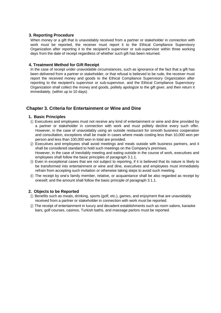When money or a gift that is unavoidably received from a partner or stakeholder in connection with work must be reported, the receiver must report it to the Ethical Compliance Supervisory Organization after reporting it to the recipient's supervisor or sub-supervisor within three working days from the date of receipt regardless of whether such gift has been returned.

#### **4. Treatment Method for Gift Receipt**

In the case of receipt under unavoidable circumstances, such as ignorance of the fact that a gift has been delivered from a partner or stakeholder, or that refusal is believed to be rude, the receiver must report the received money and goods to the Ethical Compliance Supervisory Organization after reporting to the recipient's supervisor or sub-supervisor, and the Ethical Compliance Supervisory Organization shall collect the money and goods, politely apologize to the gift giver, and then return it immediately. (within up to 10 days)

# **Chapter 3. Criteria for Entertainment or Wine and Dine**

#### **1. Basic Principles**

- ① Executives and employees must not receive any kind of entertainment or wine and dine provided by a partner or stakeholder in connection with work and must politely decline every such offer. However, in the case of unavoidably using an outside restaurant for smooth business cooperation and consultation, exceptions shall be made in cases where meals costing less than 10,000 won per person and less than 100,000 won in total are provided.
- ② Executives and employees shall avoid meetings and meals outside with business partners, and it shall be considered standard to hold such meetings on the Company's premises. However, in the case of inevitably meeting and eating outside in the course of work, executives and employees shall follow the basic principles of paragraph 3.1.1.
- ③ Even in exceptional cases that are not subject to reporting, if it is believed that its nature is likely to be transformed into entertainment or wine and dine, executives and employees must immediately refrain from accepting such invitation or otherwise taking steps to avoid such meeting.
- ④ The receipt by one's family member, relative, or acquaintance shall be also regarded as receipt by oneself, and the amount shall follow the basic principle of paragraph 3.1.1.

# **2. Objects to be Reported**

- ① Benefits such as meals, drinking, sports (golf, etc.), games, and enjoyment that are unavoidably received from a partner or stakeholder in connection with work must be reported.
- ② The receipt of entertainment in luxury and decadent establishments such as room salons, karaoke bars, golf courses, casinos, Turkish baths, and massage parlors must be reported.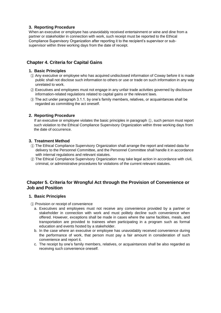When an executive or employee has unavoidably received entertainment or wine and dine from a partner or stakeholder in connection with work, such receipt must be reported to the Ethical Compliance Supervisory Organization after reporting it to the recipient's supervisor or subsupervisor within three working days from the date of receipt.

# **Chapter 4. Criteria for Capital Gains**

# **1. Basic Principles**

- ① Any executive or employee who has acquired undisclosed information of Coway before it is made public shall not disclose such information to others or use or trade on such information in any way unrelated to work.
- ② Executives and employees must not engage in any unfair trade activities governed by disclosure information-related regulations related to capital gains or the relevant laws.
- ③ The act under paragraph 3.1.1. by one's family members, relatives, or acquaintances shall be regarded as committing the act oneself.

# **2. Reporting Procedure**

If an executive or employee violates the basic principles in paragraph ①, such person must report such violation to the Ethical Compliance Supervisory Organization within three working days from the date of occurrence.

# **3. Treatment Method**

- ① The Ethical Compliance Supervisory Organization shall arrange the report and related data for delivery to the Personnel Committee, and the Personnel Committee shall handle it in accordance with internal regulations and relevant statutes.
- ② The Ethical Compliance Supervisory Organization may take legal action in accordance with civil, criminal, or administrative procedures for violations of the current relevant statutes.

# **Chapter 5. Criteria for Wrongful Act through the Provision of Convenience or Job and Position**

# **1. Basic Principles**

- ① Provision or receipt of convenience
	- a. Executives and employees must not receive any convenience provided by a partner or stakeholder in connection with work and must politely decline such convenience when offered. However, exceptions shall be made in cases where the same facilities, meals, and transportation are provided to trainees when participating in a program such as formal education and events hosted by a stakeholder.
	- b. In the case where an executive or employee has unavoidably received convenience during the performance of work, that person must pay a fair amount in consideration of such convenience and report it.
	- c. The receipt by one's family members, relatives, or acquaintances shall be also regarded as receiving such convenience oneself.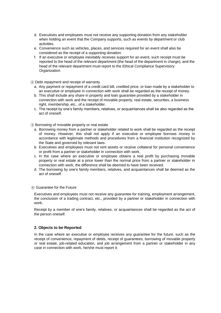- d. Executives and employees must not receive any supporting donation from any stakeholder when holding an event that the Company supports, such as events by department or club activities.
- e. Convenience such as vehicles, places, and services required for an event shall also be considered as the receipt of a supporting donation.
- f. If an executive or employee inevitably receives support for an event, such receipt must be reported to the head of the relevant department (the head of the department in charge), and the head of the relevant department must report to the Ethical Compliance Supervisory Organization.

#### ② Debt repayment and receipt of warranty

- a. Any payment or repayment of a credit card bill, credited price, or loan made by a stakeholder to an executive or employee in connection with work shall be regarded as the receipt of money.
- b. This shall include any share in property and loan guarantee provided by a stakeholder in connection with work and the receipt of movable property, real estate, securities, a business right, membership, etc., of a stakeholder.
- c. The receipt by one's family members, relatives, or acquaintances shall be also regarded as the act of oneself.
- ③ Borrowing of movable property or real estate
	- a. Borrowing money from a partner or stakeholder related to work shall be regarded as the receipt of money. However, this shall not apply if an executive or employee borrows money in accordance with legitimate methods and procedures from a financial institution recognized by the State and governed by relevant laws.
	- b. Executives and employees must not rent assets or receive collateral for personal convenience or profit from a partner or stakeholder in connection with work.
	- c. In the case where an executive or employee obtains a real profit by purchasing movable property or real estate at a price lower than the normal price from a partner or stakeholder in connection with work, the difference shall be deemed to have been received.
	- d. The borrowing by one's family members, relatives, and acquaintances shall be deemed as the act of oneself.

#### ④ Guarantee for the Future

Executives and employees must not receive any guarantee for training, employment arrangement, the conclusion of a trading contract, etc., provided by a partner or stakeholder in connection with work.

Receipt by a member of one's family, relatives, or acquaintances shall be regarded as the act of the person oneself.

#### **2. Objects to be Reported**

In the case where an executive or employee receives any guarantee for the future, such as the receipt of convenience, repayment of debts, receipt of guarantees, borrowing of movable property or real estate, job-related education, and job arrangement from a partner or stakeholder in any case in connection with work, he/she must report it.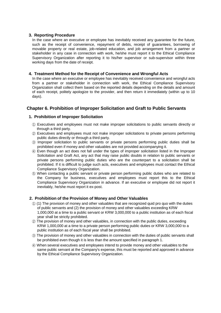In the case where an executive or employee has inevitably received any guarantee for the future, such as the receipt of convenience, repayment of debts, receipt of guarantees, borrowing of movable property or real estate, job-related education, and job arrangement from a partner or stakeholder in any case in connection with work, he/she must report it to the Ethical Compliance Supervisory Organization after reporting it to his/her supervisor or sub-supervisor within three working days from the date of receipt.

# **4. Treatment Method for the Receipt of Convenience and Wrongful Acts**

In the case where an executive or employee has inevitably received convenience and wrongful acts from a partner or stakeholder in connection with work, the Ethical Compliance Supervisory Organization shall collect them based on the reported details depending on the details and amount of each receipt, politely apologize to the provider, and then return it immediately (within up to 10 days).

# **Chapter 6. Prohibition of Improper Solicitation and Graft to Public Servants**

#### **1. Prohibition of Improper Solicitation**

- ① Executives and employees must not make improper solicitations to public servants directly or through a third party.
- ② Executives and employees must not make improper solicitations to private persons performing public duties directly or through a third party.
- ③ Improper solicitation to public servants or private persons performing public duties shall be prohibited even if money and other valuables are not provided accompanying it.
- ④ Even though an act does not fall under the types of improper solicitation listed in the Improper Solicitation and Graft Act, any act that may raise public doubts in relation to public servants or private persons performing public duties who are the counterpart to a solicitation shall be prohibited. If it is difficult to judge such acts, executives and employees must contact the Ethical Compliance Supervisory Organization.
- ⑤ When contacting a public servant or private person performing public duties who are related to the Company for business, executives and employees must report this to the Ethical Compliance Supervisory Organization in advance. If an executive or employee did not report it inevitably, he/she must report it ex-post.

# **2. Prohibition of the Provision of Money and Other Valuables**

- ① (1) The provision of money and other valuables that are recognized quid pro quo with the duties of public servants and (2) the provision of money and other valuables exceeding KRW 1,000,000 at a time to a public servant or KRW 3,000,000 to a public institution as of each fiscal year shall be strictly prohibited.
- ② The provision of money and other valuables, in connection with the public duties, exceeding KRW 1,000,000 at a time to a private person performing public duties or KRW 3,000,000 to a public institution as of each fiscal year shall be prohibited.
- ③ The provision of money and other valuables in connection with the duties of public servants shall be prohibited even though it is less than the amount specified in paragraph 1.
- ④ When several executives and employees intend to provide money and other valuables to the same public servant at the Company's expense, this must be reported and approved in advance by the Ethical Compliance Supervisory Organization.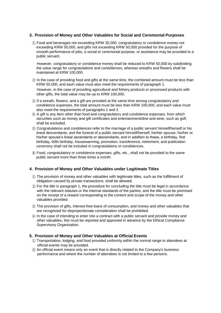## **3. Provision of Money and Other Valuables for Social and Ceremonial Purposes**

① Food and beverages not exceeding KRW 30,000, congratulatory or condolence money not exceeding KRW 50,000, and gifts not exceeding KRW 50,000 provided for the purpose of smooth performance of jobs, a social or ceremonial purpose, or assistance may be provided to a public servant.

However, congratulatory or condolence money shall be reduced to KRW 50,000 by subdividing the value range for congratulations and condolences, whereas wreaths and flowers shall be maintained at KRW 100,000.

- ② In the case of providing food and gifts at the same time, the combined amount must be less than KRW 50,000, and each value must also meet the requirements of paragraph 1. However, in the case of providing agricultural and fishery products or processed products with other gifts, the total value may be up to KRW 100,000.
- ③ If a wreath, flowers, and a gift are provided at the same time among congratulatory and condolence expenses, the total amount must be less than KRW 100,000, and each value must also meet the requirements of paragraphs 1 and 2.
- ④ A gift is any item other than food and congratulatory and condolence expenses, from which securities such as money and gift certificates and entertainment/dine and wine, such as golf, shall be excluded.
- ⑤ Congratulations and condolences refer to the marriage of a public servant himself/herself or his lineal descendants, and the funeral of a public servant himself/herself, his/her spouse, his/her or his/her spouse's lineal ascendants or descendants, and in addition to these, a birthday, first birthday, 60th birthday, housewarming, promotion, transference, retirement, and publication ceremony shall not be included in congratulations or condolences.
- ⑥ Food, congratulatory or condolence expenses, gifts, etc., shall not be provided to the same public servant more than three times a month.

#### **4. Provision of Money and Other Valuables under Legitimate Titles**

- ① The provision of money and other valuables with legitimate titles, such as the fulfillment of obligation caused by private transactions, shall be allowed.
- ② For the title in paragraph 1, the procedure for concluding the title must be legal in accordance with the relevant statutes or the internal standards of the parties, and the title must be premised on the receipt of a reward corresponding to the content and scope of the money and other valuables provided.
- ③ The provision of gifts, interest-free loans of consumption, and money and other valuables that are recognized for disproportionate consideration shall be prohibited.
- ④ In the case of intending to enter into a contract with a public servant and provide money and other valuables, this must be reported and approved in advance by the Ethical Compliance Supervisory Organization.

# **5. Provision of Money and Other Valuables at Official Events**

- ① Transportation, lodging, and food provided uniformly within the normal range to attendees at official events may be provided.
- ② An official event means only an event that is directly related to the Company's business performance and where the number of attendees is not limited to a few persons.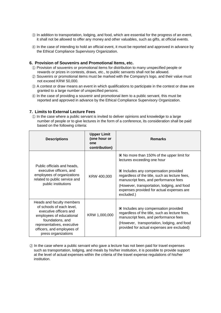- ③ In addition to transportation, lodging, and food, which are essential for the progress of an event, it shall not be allowed to offer any money and other valuables, such as gifts, at official events.
- ④ In the case of intending to hold an official event, it must be reported and approved in advance by the Ethical Compliance Supervisory Organization.

# **6. Provision of Souvenirs and Promotional Items, etc.**

- ① Provision of souvenirs or promotional items for distribution to many unspecified people or rewards or prizes in contests, draws, etc., to public servants shall not be allowed.
- ② Souvenirs or promotional items must be marked with the Company's logo, and their value must not exceed KRW 50,000.
- ③ A contest or draw means an event in which qualifications to participate in the contest or draw are granted to a large number of unspecified persons.
- ④ In the case of providing a souvenir and promotional item to a public servant, this must be reported and approved in advance by the Ethical Compliance Supervisory Organization.

#### **7. Limits to External Lecture Fees**

① In the case where a public servant is invited to deliver opinions and knowledge to a large number of people or to give lectures in the form of a conference, its consideration shall be paid based on the following criteria:

| <b>Descriptions</b>                                                                                                                                                                                                 | <b>Upper Limit</b><br>(one hour or<br>one<br>contribution) | <b>Remarks</b>                                                                                                                                                                                                                                                                                                                                   |
|---------------------------------------------------------------------------------------------------------------------------------------------------------------------------------------------------------------------|------------------------------------------------------------|--------------------------------------------------------------------------------------------------------------------------------------------------------------------------------------------------------------------------------------------------------------------------------------------------------------------------------------------------|
| Public officials and heads,<br>executive officers, and<br>employees of organizations<br>related to public service and<br>public institutions                                                                        | KRW 400,000                                                | $\blacksquare$ No more than 150% of the upper limit for<br>lectures exceeding one hour<br>$\blacksquare$ Includes any compensation provided<br>regardless of the title, such as lecture fees,<br>manuscript fees, and performance fees<br>(However, transportation, lodging, and food<br>expenses provided for actual expenses are<br>excluded.) |
| Heads and faculty members<br>of schools of each level,<br>executive officers and<br>employees of educational<br>foundations, and<br>representatives, executive<br>officers, and employees of<br>press organizations | KRW 1,000,000                                              | Includes any compensation provided<br>regardless of the title, such as lecture fees,<br>manuscript fees, and performance fees<br>(However, transportation, lodging, and food<br>provided for actual expenses are excluded)                                                                                                                       |

② In the case where a public servant who gave a lecture has not been paid for travel expenses such as transportation, lodging, and meals by his/her institution, it is possible to provide support at the level of actual expenses within the criteria of the travel expense regulations of his/her institution.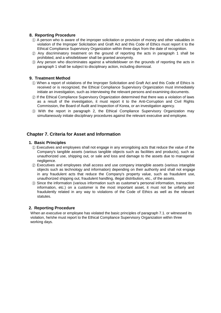- ① A person who is aware of the improper solicitation or provision of money and other valuables in violation of the Improper Solicitation and Graft Act and this Code of Ethics must report it to the Ethical Compliance Supervisory Organization within three days from the date of recognition.
- ② Any discriminatory treatment on the ground of reporting the acts in paragraph 1 shall be prohibited, and a whistleblower shall be granted anonymity.
- ③ Any person who discriminates against a whistleblower on the grounds of reporting the acts in paragraph 1 shall be subject to disciplinary action, including dismissal.

#### **9. Treatment Method**

- ① When a report of violations of the Improper Solicitation and Graft Act and this Code of Ethics is received or is recognized, the Ethical Compliance Supervisory Organization must immediately initiate an investigation, such as interviewing the relevant persons and examining documents.
- ② If the Ethical Compliance Supervisory Organization determined that there was a violation of laws as a result of the investigation, it must report it to the Anti-Corruption and Civil Rights Commission, the Board of Audit and Inspection of Korea, or an investigation agency.
- ③ With the report in paragraph 2, the Ethical Compliance Supervisory Organization may simultaneously initiate disciplinary procedures against the relevant executive and employee.

# **Chapter 7. Criteria for Asset and Information**

#### **1. Basic Principles**

- ① Executives and employees shall not engage in any wrongdoing acts that reduce the value of the Company's tangible assets (various tangible objects such as facilities and products), such as unauthorized use, shipping out, or sale and loss and damage to the assets due to managerial negligence.
- ② Executives and employees shall access and use company intangible assets (various intangible objects such as technology and information) depending on their authority and shall not engage in any fraudulent acts that reduce the Company's property value, such as fraudulent use, unauthorized shipping out, fraudulent handling, illegal distribution, etc., of the assets.
- ③ Since the information (various information such as customer's personal information, transaction information, etc.) on a customer is the most important asset, it must not be unfairly and fraudulently related in any way to violations of the Code of Ethics as well as the relevant statutes.

# **2. Reporting Procedure**

When an executive or employee has violated the basic principles of paragraph 7.1. or witnessed its violation, he/she must report to the Ethical Compliance Supervisory Organization within three working days.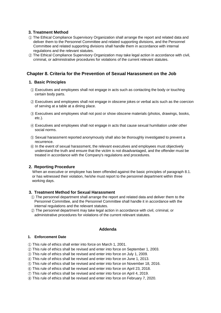# **3. Treatment Method**

- ① The Ethical Compliance Supervisory Organization shall arrange the report and related data and deliver them to the Personnel Committee and related supporting divisions, and the Personnel Committee and related supporting divisions shall handle them in accordance with internal regulations and the relevant statutes.
- ② The Ethical Compliance Supervisory Organization may take legal action in accordance with civil, criminal, or administrative procedures for violations of the current relevant statutes.

# **Chapter 8. Criteria for the Prevention of Sexual Harassment on the Job**

#### **1. Basic Principles**

- ① Executives and employees shall not engage in acts such as contacting the body or touching certain body parts.
- ② Executives and employees shall not engage in obscene jokes or verbal acts such as the coercion of serving at a table at a dining place.
- ③ Executives and employees shall not post or show obscene materials (photos, drawings, books, etc.).
- ④ Executives and employees shall not engage in acts that cause sexual humiliation under other social norms.
- ⑤ Sexual harassment reported anonymously shall also be thoroughly investigated to prevent a recurrence.
- ⑥ In the event of sexual harassment, the relevant executives and employees must objectively understand the truth and ensure that the victim is not disadvantaged, and the offender must be treated in accordance with the Company's regulations and procedures.

# **2. Reporting Procedure**

When an executive or employee has been offended against the basic principles of paragraph 8.1. or has witnessed their violation, he/she must report to the personnel department within three working days.

#### **3. Treatment Method for Sexual Harassment**

- ① The personnel department shall arrange the report and related data and deliver them to the Personnel Committee, and the Personnel Committee shall handle it in accordance with the internal regulations and the relevant statutes.
- ② The personnel department may take legal action in accordance with civil, criminal, or administrative procedures for violations of the current relevant statutes.

#### **Addenda**

#### **1. Enforcement Date**

- ① This rule of ethics shall enter into force on March 1, 2001.
- ② This rule of ethics shall be revised and enter into force on September 1, 2003.
- ③ This rule of ethics shall be revised and enter into force on July 1, 2009.
- ④ This rule of ethics shall be revised and enter into force on June 1, 2013.
- ⑤ This rule of ethics shall be revised and enter into force on November 18, 2016.
- ⑥ This rule of ethics shall be revised and enter into force on April 23, 2018.
- ⑦ This rule of ethics shall be revised and enter into force on April 4, 2019.
- ⑧ This rule of ethics shall be revised and enter into force on February 7, 2020.